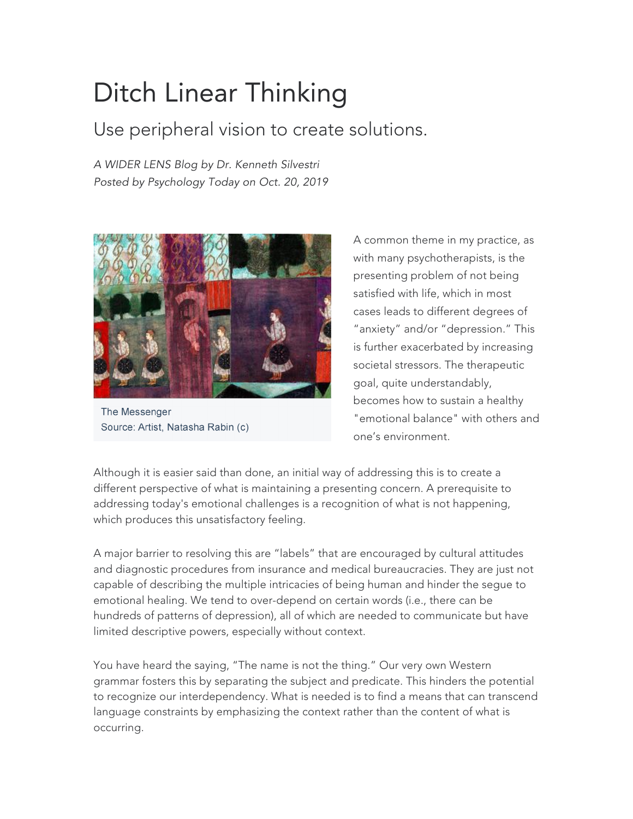## Ditch Linear Thinking

## Use peripheral vision to create solutions.

*A WIDER LENS Blog by Dr. Kenneth Silvestri Posted by Psychology Today on Oct. 20, 2019*



The Messenger Source: Artist, Natasha Rabin (c)

A common theme in my practice, as with many psychotherapists, is the presenting problem of not being satisfied with life, which in most cases leads to different degrees of "anxiety" and/or "depression." This is further exacerbated by increasing societal stressors. The therapeutic goal, quite understandably, becomes how to sustain a healthy "emotional balance" with others and one's environment.

Although it is easier said than done, an initial way of addressing this is to create a different perspective of what is maintaining a presenting concern. A prerequisite to addressing today's emotional challenges is a recognition of what is not happening, which produces this unsatisfactory feeling.

A major barrier to resolving this are "labels" that are encouraged by cultural attitudes and diagnostic procedures from insurance and medical bureaucracies. They are just not capable of describing the multiple intricacies of being human and hinder the segue to emotional healing. We tend to over-depend on certain words (i.e., there can be hundreds of patterns of depression), all of which are needed to communicate but have limited descriptive powers, especially without context.

You have heard the saying, "The name is not the thing." Our very own Western grammar fosters this by separating the subject and predicate. This hinders the potential to recognize our interdependency. What is needed is to find a means that can transcend language constraints by emphasizing the context rather than the content of what is occurring.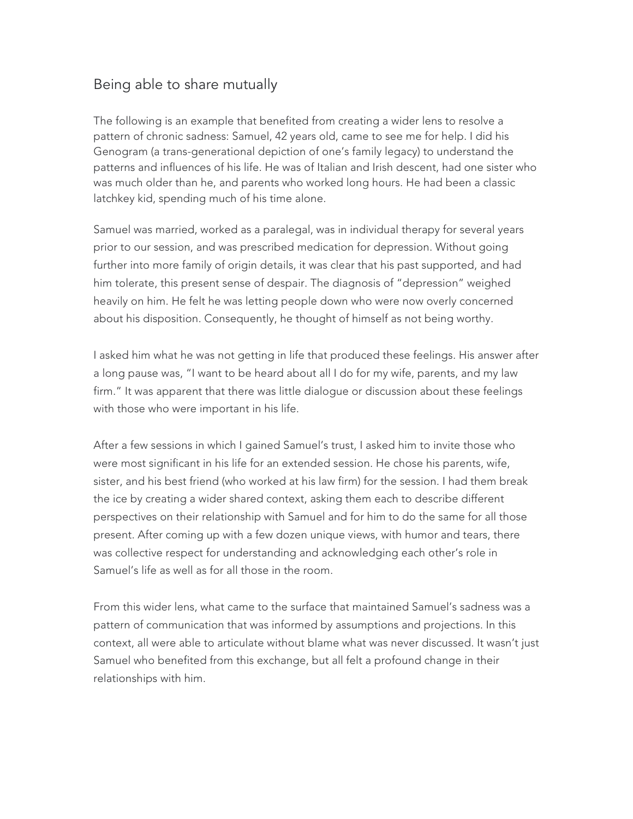## Being able to share mutually

The following is an example that benefited from creating a wider lens to resolve a pattern of chronic sadness: Samuel, 42 years old, came to see me for help. I did his Genogram (a trans-generational depiction of one's family legacy) to understand the patterns and influences of his life. He was of Italian and Irish descent, had one sister who was much older than he, and parents who worked long hours. He had been a classic latchkey kid, spending much of his time alone.

Samuel was married, worked as a paralegal, was in individual therapy for several years prior to our session, and was prescribed medication for depression. Without going further into more family of origin details, it was clear that his past supported, and had him tolerate, this present sense of despair. The diagnosis of "depression" weighed heavily on him. He felt he was letting people down who were now overly concerned about his disposition. Consequently, he thought of himself as not being worthy.

I asked him what he was not getting in life that produced these feelings. His answer after a long pause was, "I want to be heard about all I do for my wife, parents, and my law firm." It was apparent that there was little dialogue or discussion about these feelings with those who were important in his life.

After a few sessions in which I gained Samuel's trust, I asked him to invite those who were most significant in his life for an extended session. He chose his parents, wife, sister, and his best friend (who worked at his law firm) for the session. I had them break the ice by creating a wider shared context, asking them each to describe different perspectives on their relationship with Samuel and for him to do the same for all those present. After coming up with a few dozen unique views, with humor and tears, there was collective respect for understanding and acknowledging each other's role in Samuel's life as well as for all those in the room.

From this wider lens, what came to the surface that maintained Samuel's sadness was a pattern of communication that was informed by assumptions and projections. In this context, all were able to articulate without blame what was never discussed. It wasn't just Samuel who benefited from this exchange, but all felt a profound change in their relationships with him.